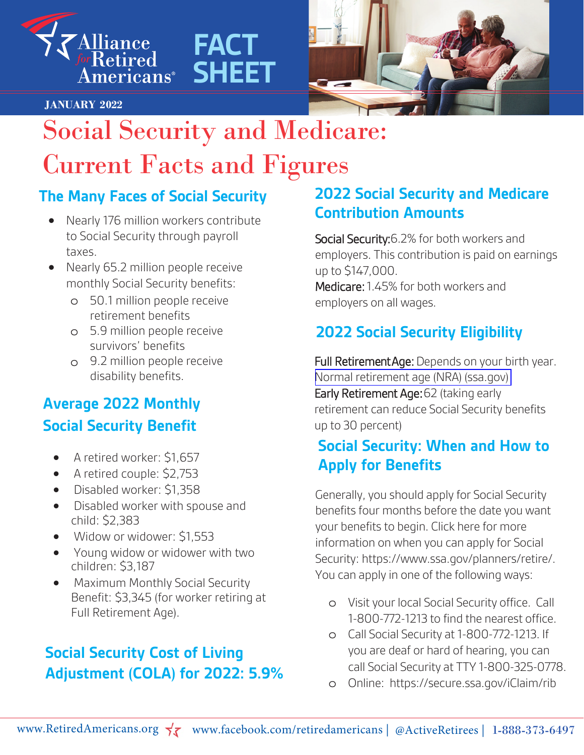

**JANUARY 2022**



# Social Security and Medicare: Current Facts and Figures

**FACT**

**SHEET**

### **The Many Faces of Social Security**

- Nearly 176 million workers contribute to Social Security through payroll taxes.
- Nearly 65.2 million people receive monthly Social Security benefits:
	- o 50.1 million people receive retirement benefits
	- o 5.9 million people receive survivors' benefits
	- o 9.2 million people receive disability benefits.

# **Average 2022 Monthly Social Security Benefit**

- A retired worker: \$1,657
- A retired couple: \$2,753
- Disabled worker: \$1,358
- Disabled worker with spouse and child: \$2,383
- Widow or widower: \$1,553
- Young widow or widower with two children: \$3,187
- Maximum Monthly Social Security Benefit: \$3,345 (for worker retiring at Full Retirement Age).

# **Social Security Cost of Living Adjustment (COLA) for 2022: 5.9%**

### **2022 Social Security and Medicare Contribution Amounts**

Social Security: 6.2% for both workers and employers. This contribution is paid on earnings up to \$147,000. Medicare:1.45% for both workers and

employers on all wages.

# **2022 Social Security Eligibility**

Full Retirement Age: Depends on your birth year. [Normal retirement age \(NRA\) \(ssa.gov\)](https://www.ssa.gov/oact/progdata/nra.html) Early Retirement Age: 62 (taking early retirement can reduce Social Security benefits up to 30 percent)

## **Social Security: When and How to Apply for Benefits**

Generally, you should apply for Social Security benefits four months before the date you want your benefits to begin. Click here for more information on when you can apply for Social Security: https://www.ssa.gov/planners/retire/. You can apply in one of the following ways:

- o Visit your local Social Security office. Call 1-800-772-1213 to find the nearest office.
- o Call Social Security at 1-800-772-1213. If you are deaf or hard of hearing, you can call Social Security at TTY 1-800-325-0778.
- o Online: https://secure.ssa.gov/iClaim/rib